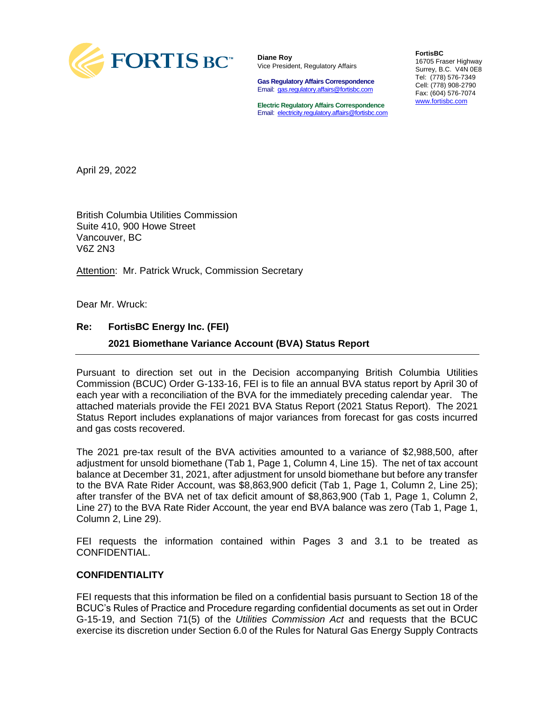

**Diane Roy** Vice President, Regulatory Affairs

**Gas Regulatory Affairs Correspondence** Email: [gas.regulatory.affairs@fortisbc.com](mailto:gas.regulatory.affairs@fortisbc.com)

**Electric Regulatory Affairs Correspondence** Email: [electricity.regulatory.affairs@fortisbc.com](mailto:electricity.regulatory.affairs@fortisbc.com) **FortisBC**  16705 Fraser Highway Surrey, B.C. V4N 0E8 Tel: (778) 576-7349 Cell: (778) 908-2790 Fax: (604) 576-7074 [www.fortisbc.com](http://www.fortisbc.com/)

April 29, 2022

British Columbia Utilities Commission Suite 410, 900 Howe Street Vancouver, BC V6Z 2N3

Attention: Mr. Patrick Wruck, Commission Secretary

Dear Mr. Wruck:

# **Re: FortisBC Energy Inc. (FEI)**

# **2021 Biomethane Variance Account (BVA) Status Report**

Pursuant to direction set out in the Decision accompanying British Columbia Utilities Commission (BCUC) Order G-133-16, FEI is to file an annual BVA status report by April 30 of each year with a reconciliation of the BVA for the immediately preceding calendar year. The attached materials provide the FEI 2021 BVA Status Report (2021 Status Report). The 2021 Status Report includes explanations of major variances from forecast for gas costs incurred and gas costs recovered.

The 2021 pre-tax result of the BVA activities amounted to a variance of \$2,988,500, after adjustment for unsold biomethane (Tab 1, Page 1, Column 4, Line 15). The net of tax account balance at December 31, 2021, after adjustment for unsold biomethane but before any transfer to the BVA Rate Rider Account, was \$8,863,900 deficit (Tab 1, Page 1, Column 2, Line 25); after transfer of the BVA net of tax deficit amount of \$8,863,900 (Tab 1, Page 1, Column 2, Line 27) to the BVA Rate Rider Account, the year end BVA balance was zero (Tab 1, Page 1, Column 2, Line 29).

FEI requests the information contained within Pages 3 and 3.1 to be treated as CONFIDENTIAL.

## **CONFIDENTIALITY**

FEI requests that this information be filed on a confidential basis pursuant to Section 18 of the BCUC's Rules of Practice and Procedure regarding confidential documents as set out in Order G-15-19, and Section 71(5) of the *Utilities Commission Act* and requests that the BCUC exercise its discretion under Section 6.0 of the Rules for Natural Gas Energy Supply Contracts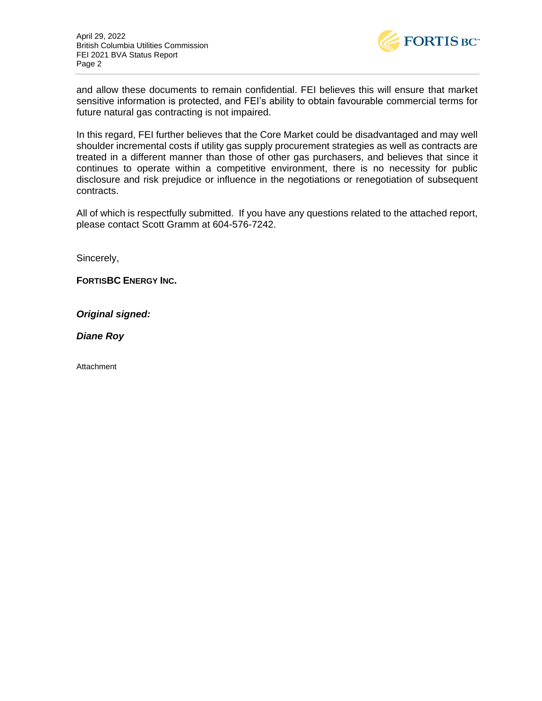

and allow these documents to remain confidential. FEI believes this will ensure that market sensitive information is protected, and FEI's ability to obtain favourable commercial terms for future natural gas contracting is not impaired.

In this regard, FEI further believes that the Core Market could be disadvantaged and may well shoulder incremental costs if utility gas supply procurement strategies as well as contracts are treated in a different manner than those of other gas purchasers, and believes that since it continues to operate within a competitive environment, there is no necessity for public disclosure and risk prejudice or influence in the negotiations or renegotiation of subsequent contracts.

All of which is respectfully submitted. If you have any questions related to the attached report, please contact Scott Gramm at 604-576-7242.

Sincerely,

**FORTISBC ENERGY INC.**

*Original signed:* 

*Diane Roy*

Attachment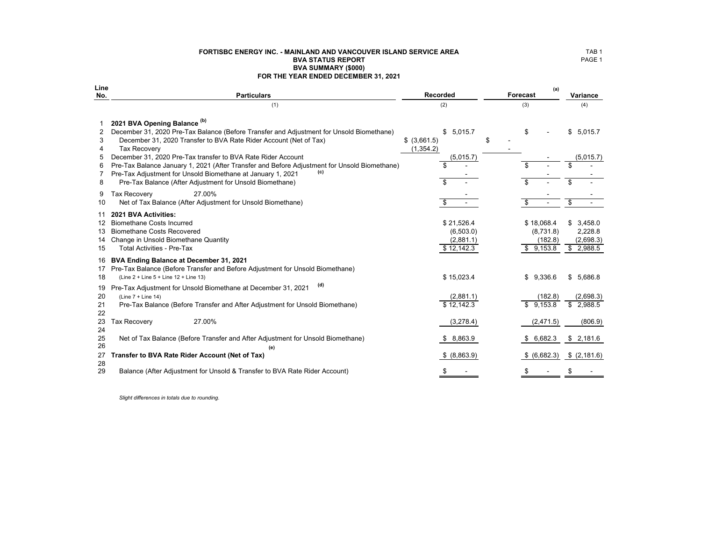## **FORTISBC ENERGY INC. - MAINLAND AND VANCOUVER ISLAND SERVICE AREA** TAB 1<br>B**VA STATUS REPORT EXAMPLE AND SERVICE AREA** PAGE 1 **BVA STATUS REPORT BVA SUMMARY (\$000) FOR THE YEAR ENDED DECEMBER 31, 2021**

| Line<br>No.                | <b>Particulars</b>                                                                                                                                                                                                                                                                             | <b>Recorded</b>                                                | (a)<br><b>Forecast</b>                          | Variance                                       |  |  |
|----------------------------|------------------------------------------------------------------------------------------------------------------------------------------------------------------------------------------------------------------------------------------------------------------------------------------------|----------------------------------------------------------------|-------------------------------------------------|------------------------------------------------|--|--|
|                            | (1)                                                                                                                                                                                                                                                                                            | (2)                                                            |                                                 |                                                |  |  |
| $\overline{2}$<br>3<br>4   | 2021 BVA Opening Balance (b)<br>December 31, 2020 Pre-Tax Balance (Before Transfer and Adjustment for Unsold Biomethane)<br>December 31, 2020 Transfer to BVA Rate Rider Account (Net of Tax)<br><b>Tax Recovery</b>                                                                           | \$<br>5,015.7<br>$$$ (3,661.5)<br>\$<br>(1, 354.2)             | \$                                              | \$<br>5,015.7                                  |  |  |
| 5<br>6<br>8                | December 31, 2020 Pre-Tax transfer to BVA Rate Rider Account<br>Pre-Tax Balance January 1, 2021 (After Transfer and Before Adjustment for Unsold Biomethane)<br>(c)<br>Pre-Tax Adjustment for Unsold Biomethane at January 1, 2021<br>Pre-Tax Balance (After Adjustment for Unsold Biomethane) | (5,015.7)<br>\$.<br>\$.                                        | \$.<br>\$.                                      | (5,015.7)<br>\$<br>\$                          |  |  |
| 9<br>10                    | 27.00%<br><b>Tax Recovery</b><br>Net of Tax Balance (After Adjustment for Unsold Biomethane)                                                                                                                                                                                                   | \$                                                             | \$<br>$\sim$                                    | $\$\$                                          |  |  |
| 11<br>12<br>13<br>14<br>15 | 2021 BVA Activities:<br><b>Biomethane Costs Incurred</b><br><b>Biomethane Costs Recovered</b><br>Change in Unsold Biomethane Quantity<br><b>Total Activities - Pre-Tax</b>                                                                                                                     | \$21,526.4<br>(6,503.0)<br>(2,881.1)<br>$\overline{$}12,142.3$ | \$18,068.4<br>(8,731.8)<br>(182.8)<br>\$9,153.8 | \$3,458.0<br>2,228.8<br>(2,698.3)<br>\$2,988.5 |  |  |
| 16<br>17<br>18             | BVA Ending Balance at December 31, 2021<br>Pre-Tax Balance (Before Transfer and Before Adjustment for Unsold Biomethane)<br>(Line $2 +$ Line $5 +$ Line $12 +$ Line $13$ )                                                                                                                     | \$15,023.4                                                     | 9,336.6<br>\$                                   | \$<br>5,686.8                                  |  |  |
| 19<br>20<br>21<br>22       | (d)<br>Pre-Tax Adjustment for Unsold Biomethane at December 31, 2021<br>$(Line 7 + Line 14)$<br>Pre-Tax Balance (Before Transfer and After Adjustment for Unsold Biomethane)                                                                                                                   | (2,881.1)<br>$\overline{$}12,142.3$                            | (182.8)<br>$\overline{\mathcal{S}}$<br>9,153.8  | (2,698.3)<br>\$<br>2,988.5                     |  |  |
| 23<br>24                   | 27.00%<br><b>Tax Recovery</b>                                                                                                                                                                                                                                                                  | (3,278.4)                                                      | (2,471.5)                                       | (806.9)                                        |  |  |
| 25<br>26                   | Net of Tax Balance (Before Transfer and After Adjustment for Unsold Biomethane)<br>(e)                                                                                                                                                                                                         | \$8,863.9                                                      | 6,682.3<br>SS.                                  | \$2,181.6                                      |  |  |
| 27<br>28                   | Transfer to BVA Rate Rider Account (Net of Tax)                                                                                                                                                                                                                                                | \$ (8,863.9)                                                   | \$ (6,682.3)                                    | \$(2,181.6)                                    |  |  |
| 29                         | Balance (After Adjustment for Unsold & Transfer to BVA Rate Rider Account)                                                                                                                                                                                                                     |                                                                |                                                 |                                                |  |  |

*Slight differences in totals due to rounding.*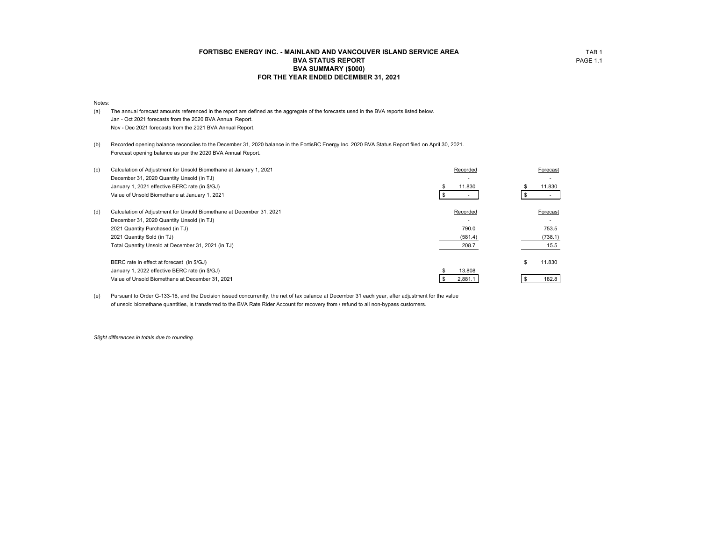## **FORTISBC ENERGY INC. - MAINLAND AND VANCOUVER ISLAND SERVICE AREA** TAB 1<br>B**VA STATUS REPORT EXAMPLE 1.1** PAGE 1.1 **BVA STATUS REPORT BVA SUMMARY (\$000) FOR THE YEAR ENDED DECEMBER 31, 2021**

#### Notes:

- (a) The annual forecast amounts referenced in the report are defined as the aggregate of the forecasts used in the BVA reports listed below. Jan - Oct 2021 forecasts from the 2020 BVA Annual Report. Nov - Dec 2021 forecasts from the 2021 BVA Annual Report.
- (b) Recorded opening balance reconciles to the December 31, 2020 balance in the FortisBC Energy Inc. 2020 BVA Status Report filed on April 30, 2021. Forecast opening balance as per the 2020 BVA Annual Report.

| (c) | Calculation of Adjustment for Unsold Biomethane at January 1, 2021   | Recorded | Forecast     |
|-----|----------------------------------------------------------------------|----------|--------------|
|     | December 31, 2020 Quantity Unsold (in TJ)                            |          |              |
|     | January 1, 2021 effective BERC rate (in \$/GJ)                       | 11.830   | 11.830       |
|     | Value of Unsold Biomethane at January 1, 2021                        |          |              |
| (d) | Calculation of Adjustment for Unsold Biomethane at December 31, 2021 | Recorded | Forecast     |
|     | December 31, 2020 Quantity Unsold (in TJ)                            |          |              |
|     | 2021 Quantity Purchased (in TJ)                                      | 790.0    | 753.5        |
|     | 2021 Quantity Sold (in TJ)                                           | (581.4)  | (738.1)      |
|     | Total Quantity Unsold at December 31, 2021 (in TJ)                   | 208.7    | 15.5         |
|     | BERC rate in effect at forecast (in \$/GJ)                           |          | \$<br>11.830 |
|     | January 1, 2022 effective BERC rate (in \$/GJ)                       | 13.808   |              |
|     | Value of Unsold Biomethane at December 31, 2021                      | 2,881.1  | 182.8        |

(e) Pursuant to Order G-133-16, and the Decision issued concurrently, the net of tax balance at December 31 each year, after adjustment for the value of unsold biomethane quantities, is transferred to the BVA Rate Rider Account for recovery from / refund to all non-bypass customers.

*Slight differences in totals due to rounding.*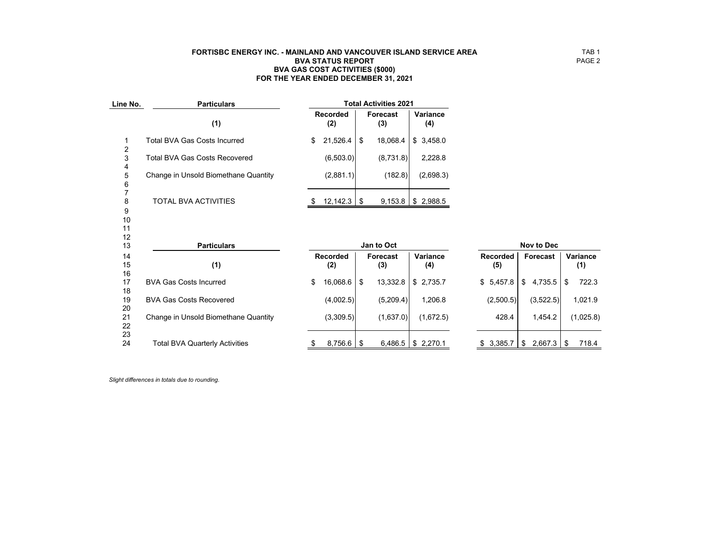### **FORTISBC ENERGY INC. - MAINLAND AND VANCOUVER ISLAND SERVICE AREA** TAB 1<br>BVA STATUS REPORT PAGE 2 **BVA STATUS REPORT BVA GAS COST ACTIVITIES (\$000) FOR THE YEAR ENDED DECEMBER 31, 2021**

| Line No.           | <b>Particulars</b>                    | <b>Total Activities 2021</b> |                        |                |                        |                        |                        |               |                   |     |                 |
|--------------------|---------------------------------------|------------------------------|------------------------|----------------|------------------------|------------------------|------------------------|---------------|-------------------|-----|-----------------|
|                    | (1)                                   |                              | <b>Recorded</b><br>(2) |                | <b>Forecast</b><br>(3) | <b>Variance</b><br>(4) |                        |               |                   |     |                 |
| 1                  | <b>Total BVA Gas Costs Incurred</b>   | $\mathfrak{S}$               | 21,526.4               | $\$\$          | 18,068.4               | \$3,458.0              |                        |               |                   |     |                 |
| $\frac{2}{3}$<br>4 | <b>Total BVA Gas Costs Recovered</b>  |                              | (6,503.0)              |                | (8,731.8)              | 2,228.8                |                        |               |                   |     |                 |
| 5<br>6             | Change in Unsold Biomethane Quantity  |                              | (2,881.1)              |                | (182.8)                | (2,698.3)              |                        |               |                   |     |                 |
| 8<br>9<br>10       | TOTAL BVA ACTIVITIES                  |                              | $12,142.3$ \$          |                |                        | $9,153.8$ \$ 2,988.5   |                        |               |                   |     |                 |
| 11<br>12<br>13     | <b>Particulars</b>                    |                              |                        |                | Jan to Oct             |                        |                        |               | <b>Nov to Dec</b> |     |                 |
| 14<br>15<br>16     | (1)                                   |                              | <b>Recorded</b><br>(2) |                | <b>Forecast</b><br>(3) | <b>Variance</b><br>(4) | <b>Recorded</b><br>(5) |               | <b>Forecast</b>   |     | Variance<br>(1) |
| 17<br>18           | <b>BVA Gas Costs Incurred</b>         | \$                           | 16,068.6               | $\mathfrak{F}$ | 13,332.8               | \$2,735.7              | \$5,457.8              | $\mathsf{\$}$ | 4,735.5           | \$  | 722.3           |
| 19<br>20           | <b>BVA Gas Costs Recovered</b>        |                              | (4,002.5)              |                | (5,209.4)              | 1,206.8                | (2,500.5)              |               | (3,522.5)         |     | 1,021.9         |
| 21<br>22           | Change in Unsold Biomethane Quantity  |                              | (3,309.5)              |                | (1,637.0)              | (1,672.5)              | 428.4                  |               | 1,454.2           |     | (1,025.8)       |
| 23<br>24           | <b>Total BVA Quarterly Activities</b> | \$                           | $8,756.6$ \$           |                |                        | $6,486.5$ \$ 2,270.1   | \$3,385.7              |               | \$2,667.3         | \$. | 718.4           |

*Slight differences in totals due to rounding.*